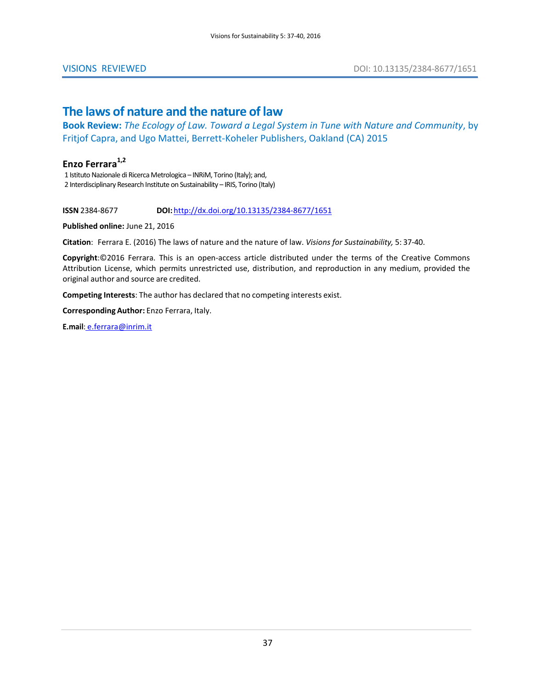## **The laws of nature and the nature of law**

**Book Review:** *The Ecology of Law. Toward a Legal System in Tune with Nature and Community*, by Fritjof Capra, and Ugo Mattei, Berrett-Koheler Publishers, Oakland (CA) 2015

## Enzo Ferrara<sup>1,2</sup>

1 Istituto Nazionale di Ricerca Metrologica – INRiM, Torino (Italy); and, 2 Interdisciplinary Research Institute on Sustainability – IRIS, Torino (Italy)

**ISSN** 2384-8677 **DOI:**<http://dx.doi.org/10.13135/2384-8677/1651>

**Published online:** June 21, 2016

**Citation**: Ferrara E. (2016) The laws of nature and the nature of law. *Visions for Sustainability,* 5: 37-40.

**Copyright**:©2016 Ferrara. This is an open-access article distributed under the terms of the Creative Commons Attribution License, which permits unrestricted use, distribution, and reproduction in any medium, provided the original author and source are credited.

**Competing Interests**: The author has declared that no competing interests exist.

**Corresponding Author:** Enzo Ferrara, Italy.

**E.mail**: [e.ferrara@inrim.it](mailto:e.ferrara@inrim.it)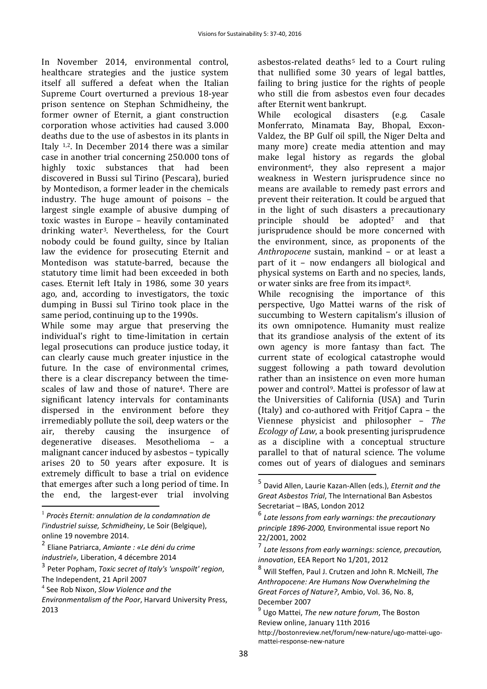In November 2014, environmental control, healthcare strategies and the justice system itself all suffered a defeat when the Italian Supreme Court overturned a previous 18-year prison sentence on Stephan Schmidheiny, the former owner of Eternit, a giant construction corporation whose activities had caused 3.000 deaths due to the use of asbestos in its plants in Italy [1](#page-1-0),[2](#page-1-1). In December 2014 there was a similar case in another trial concerning 250.000 tons of<br>highly toxic substances that had been toxic substances that had been discovered in Bussi sul Tirino (Pescara), buried by Montedison, a former leader in the chemicals industry. The huge amount of poisons – the largest single example of abusive dumping of toxic wastes in Europe – heavily contaminated drinking water[3](#page-1-2). Nevertheless, for the Court nobody could be found guilty, since by Italian law the evidence for prosecuting Eternit and Montedison was statute-barred, because the statutory time limit had been exceeded in both cases. Eternit left Italy in 1986, some 30 years ago, and, according to investigators, the toxic dumping in Bussi sul Tirino took place in the same period, continuing up to the 1990s.

While some may argue that preserving the individual's right to time-limitation in certain legal prosecutions can produce justice today, it can clearly cause much greater injustice in the future. In the case of environmental crimes, there is a clear discrepancy between the timescales of law and those of nature<sup>4</sup>. There are significant latency intervals for contaminants dispersed in the environment before they irremediably pollute the soil, deep waters or the air, thereby causing the insurgence of degenerative diseases. Mesothelioma – a malignant cancer induced by asbestos – typically arises 20 to 50 years after exposure. It is extremely difficult to base a trial on evidence that emerges after such a long period of time. In the end, the largest-ever trial involving

<span id="page-1-5"></span><span id="page-1-0"></span><sup>1</sup> *[Procès Eternit: annulation de la condamnation de](http://business-humanrights.org/en/eternit-lawsuit-re-asbestos-exposure-in-italy%23c107425)  [l'industriel suisse, Schmidheiny](http://business-humanrights.org/en/eternit-lawsuit-re-asbestos-exposure-in-italy%23c107425)*, Le Soir (Belgique), online 19 novembre 2014.

<span id="page-1-6"></span><span id="page-1-1"></span><sup>2</sup> [Eliane Patriarca,](http://www.liberation.fr/auteur/7834-eliane-patriarca) *Amiante : «Le déni du crime industriel»,* Liberation, 4 décembre 2014

<span id="page-1-7"></span><span id="page-1-2"></span><sup>3</sup> Peter Popham, *Toxic secret of Italy's 'unspoilt' region*, The Independent, 21 April 2007

<span id="page-1-3"></span><sup>4</sup> See [Rob Nixon,](http://www.hup.harvard.edu/results-list.php?author=12985) *Slow Violence and the* 

<span id="page-1-4"></span> $\overline{a}$ 

<span id="page-1-8"></span>*Environmentalism of the Poor*, Harvard University Press, 2013

asbestos-related deaths<sup>[5](#page-1-4)</sup> led to a Court ruling that nullified some 30 years of legal battles, failing to bring justice for the rights of people who still die from asbestos even four decades after Eternit went bankrupt.<br>While ecological disasters

While ecological disasters (e.g. Casale Monferrato, Minamata Bay, Bhopal, Exxon-Valdez, the BP Gulf oil spill, the Niger Delta and many more) create media attention and may make legal history as regards the global environment<sup>6</sup>, they also represent a major weakness in Western jurisprudence since no means are available to remedy past errors and prevent their reiteration. It could be argued that in the light of such disasters a precautionary principle should be adopted[7](#page-1-6) and that jurisprudence should be more concerned with the environment, since, as proponents of the *Anthropocene* sustain, mankind – or at least a part of it – now endangers all biological and physical systems on Earth and no species, lands, or water sinks are free from its impact[8.](#page-1-7)

While recognising the importance of this perspective, Ugo Mattei warns of the risk of succumbing to Western capitalism's illusion of its own omnipotence. Humanity must realize that its grandiose analysis of the extent of its own agency is more fantasy than fact. The current state of ecological catastrophe would suggest following a path toward devolution rather than an insistence on even more human power and contro[l9](#page-1-8). Mattei is professor of law at the Universities of California (USA) and Turin (Italy) and co-authored with Fritjof Capra – the Viennese physicist and philosopher – *The Ecology of Law*, a book presenting jurisprudence as a discipline with a conceptual structure parallel to that of natural science. The volume comes out of years of dialogues and seminars

 $\overline{a}$ 

<sup>5</sup> David Allen, Laurie Kazan-Allen (eds.), *Eternit and the Great Asbestos Trial*, The International Ban Asbestos Secretariat – IBAS, London 2012

<sup>6</sup> *Late lessons from early warnings: the precautionary principle 1896-2000,* Environmental issue report No 22/2001, 2002

<sup>7</sup> *Late lessons from early warnings: science, precaution, innovation*, EEA Report No 1/201, 2012

<sup>8</sup> Will Steffen, Paul J. Crutzen and John R. McNeill, *The Anthropocene: Are Humans Now Overwhelming the Great Forces of Nature?*, Ambio, Vol. 36, No. 8, December 2007

<sup>9</sup> Ugo Mattei, *The new nature forum*, The Boston Review online, January 11th 2016 [http://bostonreview.net/forum/new-nature/ugo-mattei-ugo](http://bostonreview.net/forum/new-nature/ugo-mattei-ugo-mattei-response-new-nature)[mattei-response-new-nature](http://bostonreview.net/forum/new-nature/ugo-mattei-ugo-mattei-response-new-nature)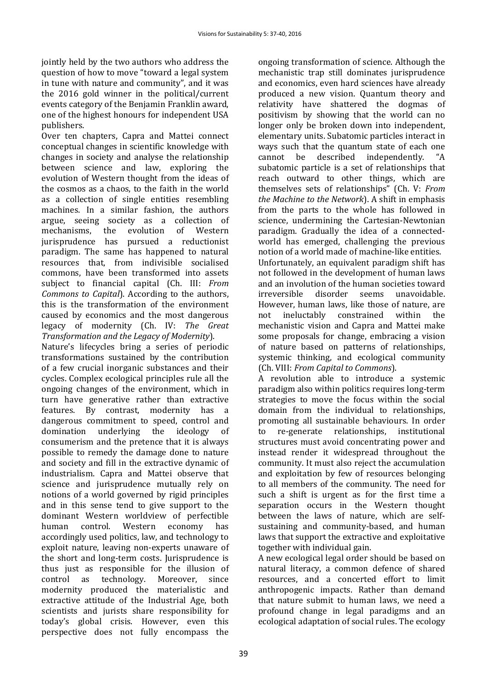jointly held by the two authors who address the question of how to move "toward a legal system in tune with nature and community", and it was the 2016 gold winner in the political/current events category of the Benjamin Franklin award, one of the highest honours for independent USA publishers.

Over ten chapters, Capra and Mattei connect conceptual changes in scientific knowledge with changes in society and analyse the relationship between science and law, exploring the evolution of Western thought from the ideas of the cosmos as a chaos, to the faith in the world as a collection of single entities resembling machines. In a similar fashion, the authors argue, seeing society as a collection of<br>mechanisms, the evolution of Western evolution of Western jurisprudence has pursued a reductionist paradigm. The same has happened to natural resources that, from indivisible socialised commons, have been transformed into assets subject to financial capital (Ch. III: *From Commons to Capital*). According to the authors, this is the transformation of the environment caused by economics and the most dangerous legacy of modernity (Ch. IV: *The Great Transformation and the Legacy of Modernity*).

Nature's lifecycles bring a series of periodic transformations sustained by the contribution of a few crucial inorganic substances and their cycles. Complex ecological principles rule all the ongoing changes of the environment, which in turn have generative rather than extractive features. By contrast, modernity has a dangerous commitment to speed, control and<br>domination underlying the ideology of domination underlying the ideology consumerism and the pretence that it is always possible to remedy the damage done to nature and society and fill in the extractive dynamic of industrialism. Capra and Mattei observe that science and jurisprudence mutually rely on notions of a world governed by rigid principles and in this sense tend to give support to the dominant Western worldview of perfectible<br>human control. Western economy has Western economy accordingly used politics, law, and technology to exploit nature, leaving non-experts unaware of the short and long-term costs. Jurisprudence is thus just as responsible for the illusion of control as technology. Moreover, since technology. modernity produced the materialistic and extractive attitude of the Industrial Age, both scientists and jurists share responsibility for today's global crisis. However, even this perspective does not fully encompass the

ongoing transformation of science. Although the mechanistic trap still dominates jurisprudence and economics, even hard sciences have already produced a new vision. Quantum theory and relativity have shattered the dogmas of positivism by showing that the world can no longer only be broken down into independent, elementary units. Subatomic [particles](https://en.wikipedia.org/wiki/Particle) interact in ways such that the [quantum state](https://en.wikipedia.org/wiki/Quantum_state) of each one cannot be described independently. "A described independently. subatomic particle is a set of relationships that reach outward to other things, which are themselves sets of relationships" (Ch. V: *From the Machine to the Network*). A shift in emphasis from the parts to the whole has followed in science, undermining the Cartesian-Newtonian paradigm. Gradually the idea of a connectedworld has emerged, challenging the previous notion of a world made of machine-like entities. Unfortunately, an equivalent paradigm shift has not followed in the development of human laws and an involution of the human societies toward<br>irreversible disorder seems unavoidable. unavoidable. However, human laws, like those of nature, are<br>not ineluctably constrained within the constrained mechanistic vision and Capra and Mattei make some proposals for change, embracing a vision of nature based on patterns of relationships, systemic thinking, and ecological community

(Ch. VIII: *From Capital to Commons*). A revolution able to introduce a systemic paradigm also within politics requires long-term strategies to move the focus within the social domain from the individual to relationships, promoting all sustainable behaviours. In order to re-generate relationships, institutional structures must avoid concentrating power and instead render it widespread throughout the community. It must also reject the accumulation and exploitation by few of resources belonging to all members of the community. The need for such a shift is urgent as for the first time a separation occurs in the Western thought between the laws of nature, which are selfsustaining and community-based, and human laws that support the extractive and exploitative together with individual gain.

A new ecological legal order should be based on natural literacy, a common defence of shared resources, and a concerted effort to limit anthropogenic impacts. Rather than demand that nature submit to human laws, we need a profound change in legal paradigms and an ecological adaptation of social rules. The ecology